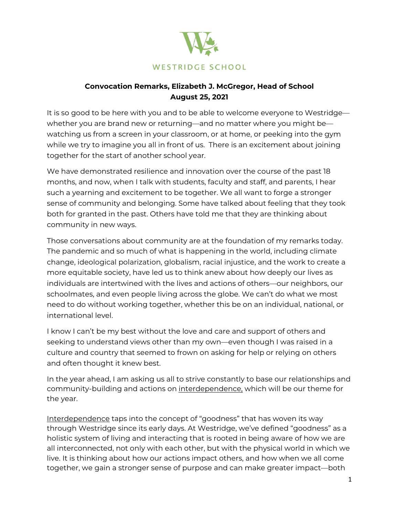

## **Convocation Remarks, Elizabeth J. McGregor, Head of School August 25, 2021**

It is so good to be here with you and to be able to welcome everyone to Westridge whether you are brand new or returning—and no matter where you might be watching us from a screen in your classroom, or at home, or peeking into the gym while we try to imagine you all in front of us. There is an excitement about joining together for the start of another school year.

We have demonstrated resilience and innovation over the course of the past 18 months, and now, when I talk with students, faculty and staff, and parents, I hear such a yearning and excitement to be together. We all want to forge a stronger sense of community and belonging. Some have talked about feeling that they took both for granted in the past. Others have told me that they are thinking about community in new ways.

Those conversations about community are at the foundation of my remarks today. The pandemic and so much of what is happening in the world, including climate change, ideological polarization, globalism, racial injustice, and the work to create a more equitable society, have led us to think anew about how deeply our lives as individuals are intertwined with the lives and actions of others—our neighbors, our schoolmates, and even people living across the globe. We can't do what we most need to do without working together, whether this be on an individual, national, or international level.

I know I can't be my best without the love and care and support of others and seeking to understand views other than my own—even though I was raised in a culture and country that seemed to frown on asking for help or relying on others and often thought it knew best.

In the year ahead, I am asking us all to strive constantly to base our relationships and community-building and actions on interdependence, which will be our theme for the year.

Interdependence taps into the concept of "goodness" that has woven its way through Westridge since its early days. At Westridge, we've defined "goodness" as a holistic system of living and interacting that is rooted in being aware of how we are all interconnected, not only with each other, but with the physical world in which we live. It is thinking about how our actions impact others, and how when we all come together, we gain a stronger sense of purpose and can make greater impact—both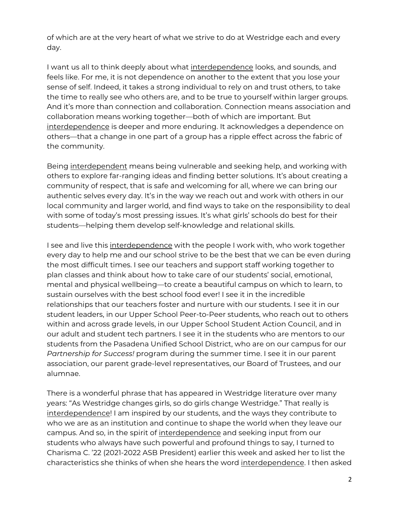of which are at the very heart of what we strive to do at Westridge each and every day.

I want us all to think deeply about what interdependence looks, and sounds, and feels like. For me, it is not dependence on another to the extent that you lose your sense of self. Indeed, it takes a strong individual to rely on and trust others, to take the time to really see who others are, and to be true to yourself within larger groups. And it's more than connection and collaboration. Connection means association and collaboration means working together—both of which are important. But interdependence is deeper and more enduring. It acknowledges a dependence on others—that a change in one part of a group has a ripple effect across the fabric of the community.

Being interdependent means being vulnerable and seeking help, and working with others to explore far-ranging ideas and finding better solutions. It's about creating a community of respect, that is safe and welcoming for all, where we can bring our authentic selves every day. It's in the way we reach out and work with others in our local community and larger world, and find ways to take on the responsibility to deal with some of today's most pressing issues. It's what girls' schools do best for their students—helping them develop self-knowledge and relational skills.

I see and live this interdependence with the people I work with, who work together every day to help me and our school strive to be the best that we can be even during the most difficult times. I see our teachers and support staff working together to plan classes and think about how to take care of our students' social, emotional, mental and physical wellbeing—to create a beautiful campus on which to learn, to sustain ourselves with the best school food ever! I see it in the incredible relationships that our teachers foster and nurture with our students. I see it in our student leaders, in our Upper School Peer-to-Peer students, who reach out to others within and across grade levels, in our Upper School Student Action Council, and in our adult and student tech partners. I see it in the students who are mentors to our students from the Pasadena Unified School District, who are on our campus for our *Partnership for Success!* program during the summer time. I see it in our parent association, our parent grade-level representatives, our Board of Trustees, and our alumnae.

There is a wonderful phrase that has appeared in Westridge literature over many years: "As Westridge changes girls, so do girls change Westridge." That really is interdependence! I am inspired by our students, and the ways they contribute to who we are as an institution and continue to shape the world when they leave our campus. And so, in the spirit of interdependence and seeking input from our students who always have such powerful and profound things to say, I turned to Charisma C. '22 (2021-2022 ASB President) earlier this week and asked her to list the characteristics she thinks of when she hears the word interdependence. I then asked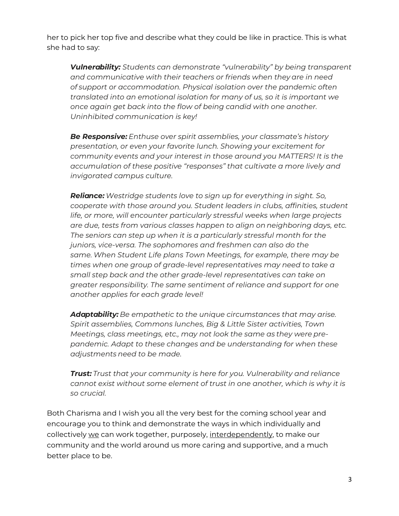her to pick her top five and describe what they could be like in practice. This is what she had to say:

*Vulnerability: Students can demonstrate "vulnerability" by being transparent and communicative with their teachers or friends when they are in need of support or accommodation. Physical isolation over the pandemic often translated into an emotional isolation for many of us, so it is important we once again get back into the flow of being candid with one another. Uninhibited communication is key!*

*Be Responsive: Enthuse over spirit assemblies, your classmate's history presentation, or even your favorite lunch. Showing your excitement for community events and your interest in those around you MATTERS! It is the accumulation of these positive "responses" that cultivate a more lively and invigorated campus culture.*

*Reliance: Westridge students love to sign up for everything in sight. So, cooperate with those around you. Student leaders in clubs, affinities, student life, or more, will encounter particularly stressful weeks when large projects are due, tests from various classes happen to align on neighboring days, etc. The seniors can step up when it is a particularly stressful month for the juniors, vice-versa. The sophomores and freshmen can also do the same. When Student Life plans Town Meetings, for example, there may be times when one group of grade-level representatives may need to take a small step back and the other grade-level representatives can take on greater responsibility. The same sentiment of reliance and support for one another applies for each grade level!*

*Adaptability: Be empathetic to the unique circumstances that may arise. Spirit assemblies, Commons lunches, Big & Little Sister activities, Town Meetings, class meetings, etc., may not look the same as they were prepandemic. Adapt to these changes and be understanding for when these adjustments need to be made.*

*Trust: Trust that your community is here for you. Vulnerability and reliance cannot exist without some element of trust in one another, which is why it is so crucial.*

Both Charisma and I wish you all the very best for the coming school year and encourage you to think and demonstrate the ways in which individually and collectively we can work together, purposely, interdependently, to make our community and the world around us more caring and supportive, and a much better place to be.